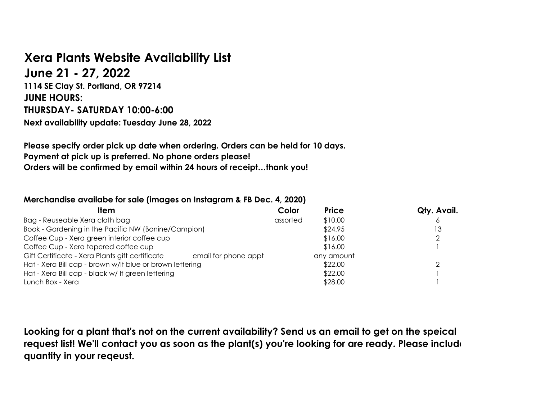## **Xera Plants Website Availability List**

**June 21 - 27, 2022 1114 SE Clay St. Portland, OR 97214 JUNE HOURS: THURSDAY- SATURDAY 10:00-6:00 Next availability update: Tuesday June 28, 2022**

**Please specify order pick up date when ordering. Orders can be held for 10 days. Payment at pick up is preferred. No phone orders please! Orders will be confirmed by email within 24 hours of receipt…thank you!**

## **Merchandise availabe for sale (images on Instagram & FB Dec. 4, 2020)**

| ltem                                                                    | Color    | <b>Price</b> | Qty. Avail. |
|-------------------------------------------------------------------------|----------|--------------|-------------|
| Bag - Reuseable Xera cloth bag                                          | assorted | \$10.00      |             |
| Book - Gardening in the Pacific NW (Bonine/Campion)                     |          | \$24.95      | Ι3          |
| Coffee Cup - Xera green interior coffee cup                             |          | \$16.00      |             |
| Coffee Cup - Xera tapered coffee cup                                    |          | \$16.00      |             |
| Gift Certificate - Xera Plants gift certificate<br>email for phone appt |          | any amount   |             |
| Hat - Xera Bill cap - brown w/lt blue or brown lettering                |          | \$22.00      |             |
| Hat - Xera Bill cap - black w/ It green lettering                       |          | \$22.00      |             |
| Lunch Box - Xera                                                        |          | \$28.00      |             |

**Looking for a plant that's not on the current availability? Send us an email to get on the speical request list! We'll contact you as soon as the plant(s) you're looking for are ready. Please include quantity in your reqeust.**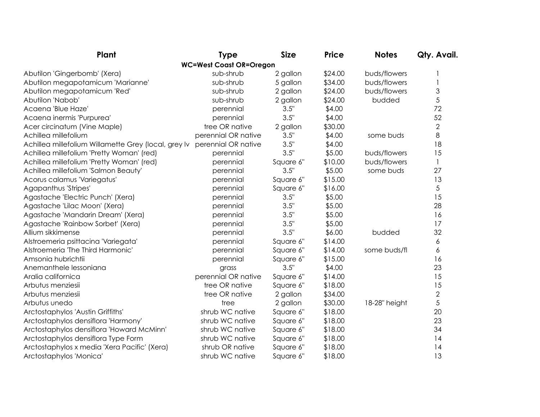| Plant                                                | <b>Type</b>                    | <b>Size</b> | <b>Price</b> | <b>Notes</b>  | Qty. Avail.    |
|------------------------------------------------------|--------------------------------|-------------|--------------|---------------|----------------|
|                                                      | <b>WC=West Coast OR=Oregon</b> |             |              |               |                |
| Abutilon 'Gingerbomb' (Xera)                         | sub-shrub                      | 2 gallon    | \$24.00      | buds/flowers  |                |
| Abutilon megapotamicum 'Marianne'                    | sub-shrub                      | 5 gallon    | \$34.00      | buds/flowers  |                |
| Abutilon megapotamicum 'Red'                         | sub-shrub                      | 2 gallon    | \$24.00      | buds/flowers  | 3              |
| Abutilon 'Nabob'                                     | sub-shrub                      | 2 gallon    | \$24.00      | budded        | 5              |
| Acaena 'Blue Haze'                                   | perennial                      | 3.5"        | \$4.00       |               | 72             |
| Acaena inermis 'Purpurea'                            | perennial                      | 3.5"        | \$4.00       |               | 52             |
| Acer circinatum (Vine Maple)                         | tree OR native                 | 2 gallon    | \$30.00      |               | $\overline{2}$ |
| Achillea millefolium                                 | perennial OR native            | 3.5"        | \$4.00       | some buds     | 8              |
| Achillea millefolium Willamette Grey (local, grey Iv | perennial OR native            | 3.5"        | \$4.00       |               | 18             |
| Achillea millefolium 'Pretty Woman' (red)            | perennial                      | 3.5"        | \$5.00       | buds/flowers  | 15             |
| Achillea millefolium 'Pretty Woman' (red)            | perennial                      | Square 6"   | \$10.00      | buds/flowers  | $\mathbf{1}$   |
| Achillea millefolium 'Salmon Beauty'                 | perennial                      | 3.5"        | \$5.00       | some buds     | 27             |
| Acorus calamus 'Variegatus'                          | perennial                      | Square 6"   | \$15.00      |               | 13             |
| Agapanthus 'Stripes'                                 | perennial                      | Square 6"   | \$16.00      |               | 5              |
| Agastache 'Electric Punch' (Xera)                    | perennial                      | 3.5"        | \$5.00       |               | 15             |
| Agastache 'Lilac Moon' (Xera)                        | perennial                      | 3.5"        | \$5.00       |               | 28             |
| Agastache 'Mandarin Dream' (Xera)                    | perennial                      | 3.5"        | \$5.00       |               | 16             |
| Agastache 'Rainbow Sorbet' (Xera)                    | perennial                      | 3.5"        | \$5.00       |               | 17             |
| Allium sikkimense                                    | perennial                      | 3.5"        | \$6.00       | budded        | 32             |
| Alstroemeria psittacina 'Variegata'                  | perennial                      | Square 6"   | \$14.00      |               | 6              |
| Alstroemeria 'The Third Harmonic'                    | perennial                      | Square 6"   | \$14.00      | some buds/fl  | 6              |
| Amsonia hubrichtii                                   | perennial                      | Square 6"   | \$15.00      |               | 16             |
| Anemanthele lessoniana                               | grass                          | 3.5"        | \$4.00       |               | 23             |
| Aralia californica                                   | perennial OR native            | Square 6"   | \$14.00      |               | 15             |
| Arbutus menziesii                                    | tree OR native                 | Square 6"   | \$18.00      |               | 15             |
| Arbutus menziesii                                    | tree OR native                 | 2 gallon    | \$34.00      |               | $\overline{2}$ |
| Arbutus unedo                                        | tree                           | 2 gallon    | \$30.00      | 18-28" height | 5              |
| Arctostaphylos 'Austin Griffiths'                    | shrub WC native                | Square 6"   | \$18.00      |               | 20             |
| Arctostaphylos densiflora 'Harmony'                  | shrub WC native                | Square 6"   | \$18.00      |               | 23             |
| Arctostaphylos densiflora 'Howard McMinn'            | shrub WC native                | Square 6"   | \$18.00      |               | 34             |
| Arctostaphylos densiflora Type Form                  | shrub WC native                | Square 6"   | \$18.00      |               | 14             |
| Arctostaphylos x media 'Xera Pacific' (Xera)         | shrub OR native                | Square 6"   | \$18.00      |               | 14             |
| Arctostaphylos 'Monica'                              | shrub WC native                | Square 6"   | \$18.00      |               | 13             |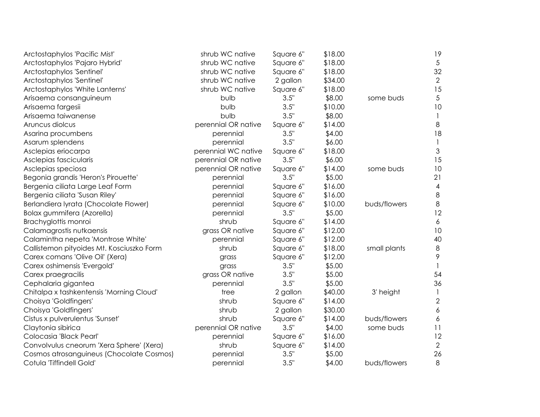| Arctostaphylos 'Pacific Mist'             | shrub WC native     | Square 6" | \$18.00 |              | 19               |
|-------------------------------------------|---------------------|-----------|---------|--------------|------------------|
| Arctostaphylos 'Pajaro Hybrid'            | shrub WC native     | Square 6" | \$18.00 |              | $\overline{5}$   |
| Arctostaphylos 'Sentinel'                 | shrub WC native     | Square 6" | \$18.00 |              | 32               |
| Arctostaphylos 'Sentinel'                 | shrub WC native     | 2 gallon  | \$34.00 |              | $\mathbf{2}$     |
| Arctostaphylos 'White Lanterns'           | shrub WC native     | Square 6" | \$18.00 |              | 15               |
| Arisaema consanguineum                    | bulb                | 3.5"      | \$8.00  | some buds    | $\overline{5}$   |
| Arisaema fargesii                         | bulb                | 3.5"      | \$10.00 |              | 10               |
| Arisaema taiwanense                       | bulb                | 3.5"      | \$8.00  |              | $\mathbf{1}$     |
| Aruncus diolcus                           | perennial OR native | Square 6" | \$14.00 |              | 8                |
| Asarina procumbens                        | perennial           | 3.5"      | \$4.00  |              | 18               |
| Asarum splendens                          | perennial           | 3.5"      | \$6.00  |              | $\mathbf{1}$     |
| Asclepias eriocarpa                       | perennial WC native | Square 6" | \$18.00 |              | $\mathfrak{Z}$   |
| Asclepias fascicularis                    | perennial OR native | 3.5"      | \$6.00  |              | 15               |
| Asclepias speciosa                        | perennial OR native | Square 6" | \$14.00 | some buds    | 10               |
| Begonia grandis 'Heron's Pirouette'       | perennial           | 3.5"      | \$5.00  |              | 21               |
| Bergenia ciliata Large Leaf Form          | perennial           | Square 6" | \$16.00 |              | $\overline{4}$   |
| Bergenia ciliata 'Susan Riley'            | perennial           | Square 6" | \$16.00 |              | 8                |
| Berlandiera lyrata (Chocolate Flower)     | perennial           | Square 6" | \$10.00 | buds/flowers | $\,8\,$          |
| Bolax gummifera (Azorella)                | perennial           | 3.5"      | \$5.00  |              | 12               |
| Brachyglottis monroi                      | shrub               | Square 6" | \$14.00 |              | $\boldsymbol{6}$ |
| Calamagrostis nutkaensis                  | grass OR native     | Square 6" | \$12.00 |              | 10               |
| Calamintha nepeta 'Montrose White'        | perennial           | Square 6" | \$12.00 |              | 40               |
| Callistemon pityoides Mt. Kosciuszko Form | shrub               | Square 6" | \$18.00 | small plants | 8                |
| Carex comans 'Olive Oil' (Xera)           | grass               | Square 6" | \$12.00 |              | 9                |
| Carex oshimensis 'Evergold'               | grass               | 3.5"      | \$5.00  |              |                  |
| Carex praegracilis                        | grass OR native     | 3.5"      | \$5.00  |              | 54               |
| Cephalaria gigantea                       | perennial           | 3.5"      | \$5.00  |              | 36               |
| Chitalpa x tashkentensis 'Morning Cloud'  | tree                | 2 gallon  | \$40.00 | 3' height    | $\mathbf{1}$     |
| Choisya 'Goldfingers'                     | shrub               | Square 6" | \$14.00 |              | $\overline{2}$   |
| Choisya 'Goldfingers'                     | shrub               | 2 gallon  | \$30.00 |              | 6                |
| Cistus x pulverulentus 'Sunset'           | shrub               | Square 6" | \$14.00 | buds/flowers | 6                |
| Claytonia sibirica                        | perennial OR native | 3.5"      | \$4.00  | some buds    | 11               |
| Colocasia 'Black Pearl'                   | perennial           | Square 6" | \$16.00 |              | 12               |
| Convolvulus cneorum 'Xera Sphere' (Xera)  | shrub               | Square 6" | \$14.00 |              | $\overline{2}$   |
| Cosmos atrosanguineus (Chocolate Cosmos)  | perennial           | 3.5"      | \$5.00  |              | 26               |
| Cotula 'Tiffindell Gold'                  | perennial           | 3.5"      | \$4.00  | buds/flowers | 8                |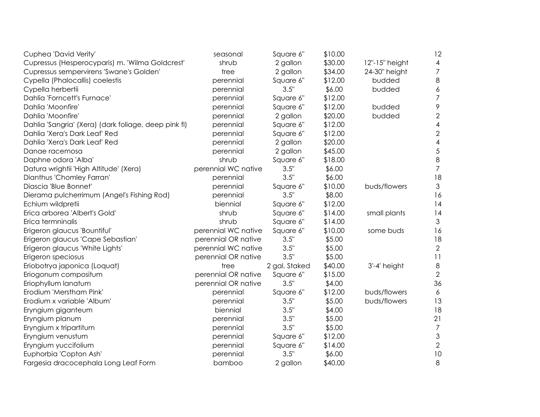| Cuphea 'David Verity'                                | seasonal            | Square 6"     | \$10.00 |                | 12                        |
|------------------------------------------------------|---------------------|---------------|---------|----------------|---------------------------|
| Cupressus (Hesperocyparis) m. 'Wilma Goldcrest'      | shrub               | 2 gallon      | \$30.00 | 12"-15" height | $\overline{4}$            |
| Cupressus sempervirens 'Swane's Golden'              | tree                | 2 gallon      | \$34.00 | 24-30" height  | $\overline{7}$            |
| Cypella (Phalocallis) coelestis                      | perennial           | Square 6"     | \$12.00 | budded         | $\,8\,$                   |
| Cypella herbertii                                    | perennial           | 3.5"          | \$6.00  | budded         | $\boldsymbol{6}$          |
| Dahlia 'Forncett's Furnace'                          | perennial           | Square 6"     | \$12.00 |                | $\overline{7}$            |
| Dahlia 'Moonfire'                                    | perennial           | Square 6"     | \$12.00 | budded         | $\,9$                     |
| Dahlia 'Moonfire'                                    | perennial           | 2 gallon      | \$20.00 | budded         | $\mathbf{2}$              |
| Dahlia 'Sangria' (Xera) (dark foliage, deep pink fl) | perennial           | Square 6"     | \$12.00 |                | $\overline{4}$            |
| Dahlia 'Xera's Dark Leaf' Red                        | perennial           | Square 6"     | \$12.00 |                | $\mathbf{2}$              |
| Dahlia 'Xera's Dark Leaf' Red                        | perennial           | 2 gallon      | \$20.00 |                | $\overline{4}$            |
| Danae racemosa                                       | perennial           | 2 gallon      | \$45.00 |                | $\sqrt{5}$                |
| Daphne odora 'Alba'                                  | shrub               | Square 6"     | \$18.00 |                | $\,8\,$                   |
| Datura wrightii 'High Altitude' (Xera)               | perennial WC native | 3.5"          | \$6.00  |                | $\overline{7}$            |
| Dianthus 'Chomley Farran'                            | perennial           | 3.5"          | \$6.00  |                | 18                        |
| Diascia 'Blue Bonnet'                                | perennial           | Square 6"     | \$10.00 | buds/flowers   | $\mathfrak{Z}$            |
| Dierama pulcherrimum (Angel's Fishing Rod)           | perennial           | 3.5"          | \$8.00  |                | 16                        |
| Echium wildpretii                                    | biennial            | Square 6"     | \$12.00 |                | 14                        |
| Erica arborea 'Albert's Gold'                        | shrub               | Square 6"     | \$14.00 | small plants   | 14                        |
| Erica termninalis                                    | shrub               | Square 6"     | \$14.00 |                | $\mathfrak{Z}$            |
| Erigeron glaucus 'Bountiful'                         | perennial WC native | Square 6"     | \$10.00 | some buds      | 16                        |
| Erigeron glaucus 'Cape Sebastian'                    | perennial OR native | 3.5"          | \$5.00  |                | 18                        |
| Erigeron glaucus 'White Lights'                      | perennial WC native | 3.5"          | \$5.00  |                | $\overline{2}$            |
| Erigeron speciosus                                   | perennial OR native | 3.5"          | \$5.00  |                | 11                        |
| Eriobotrya japonica (Loquat)                         | tree                | 2 gal. Staked | \$40.00 | 3'-4' height   | $\,8\,$                   |
| Eriogonum compositum                                 | perennial OR native | Square 6"     | \$15.00 |                | $\overline{2}$            |
| Eriophyllum lanatum                                  | perennial OR native | 3.5"          | \$4.00  |                | 36                        |
| Erodium 'Merstham Pink'                              | perennial           | Square 6"     | \$12.00 | buds/flowers   | 6                         |
| Erodium x variable 'Album'                           | perennial           | 3.5"          | \$5.00  | buds/flowers   | 13                        |
| Eryngium giganteum                                   | biennial            | 3.5"          | \$4.00  |                | 18                        |
| Eryngium planum                                      | perennial           | 3.5"          | \$5.00  |                | 21                        |
| Eryngium x tripartitum                               | perennial           | 3.5"          | \$5.00  |                | $\overline{7}$            |
| Eryngium venustum                                    | perennial           | Square 6"     | \$12.00 |                | $\ensuremath{\mathsf{3}}$ |
| Eryngium yuccifolium                                 | perennial           | Square 6"     | \$14.00 |                | $\sqrt{2}$                |
| Euphorbia 'Copton Ash'                               | perennial           | 3.5"          | \$6.00  |                | 10                        |
| Fargesia dracocephala Long Leaf Form                 | bamboo              | 2 gallon      | \$40.00 |                | 8                         |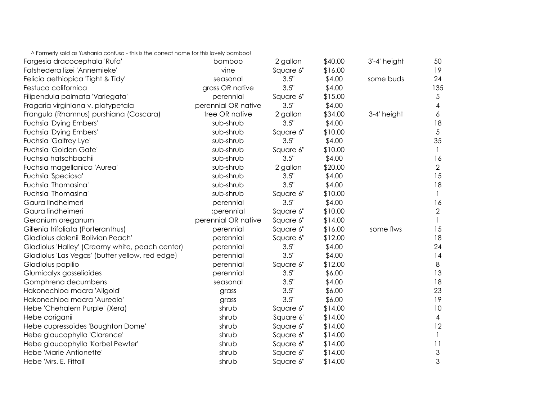^ Formerly sold as Yushania confusa - this is the correct name for this lovely bamboo!

| Fargesia dracocephala 'Rufa'                    | bamboo              | 2 gallon  | \$40.00 | 3'-4' height | 50                        |
|-------------------------------------------------|---------------------|-----------|---------|--------------|---------------------------|
| Fatshedera lizei 'Annemieke'                    | vine                | Square 6" | \$16.00 |              | 19                        |
| Felicia aethiopica 'Tight & Tidy'               | seasonal            | 3.5"      | \$4.00  | some buds    | 24                        |
| Festuca californica                             | grass OR native     | 3.5"      | \$4.00  |              | 135                       |
| Filipendula palmata 'Variegata'                 | perennial           | Square 6" | \$15.00 |              | $\sqrt{5}$                |
| Fragaria virginiana v. platypetala              | perennial OR native | 3.5"      | \$4.00  |              | $\overline{\mathcal{A}}$  |
| Frangula (Rhamnus) purshiana (Cascara)          | tree OR native      | 2 gallon  | \$34.00 | 3-4' height  | 6                         |
| Fuchsia 'Dying Embers'                          | sub-shrub           | 3.5"      | \$4.00  |              | 18                        |
| <b>Fuchsia 'Dying Embers'</b>                   | sub-shrub           | Square 6" | \$10.00 |              | $\overline{5}$            |
| Fuchsia 'Galfrey Lye'                           | sub-shrub           | 3.5"      | \$4.00  |              | 35                        |
| Fuchsia 'Golden Gate'                           | sub-shrub           | Square 6" | \$10.00 |              | 1                         |
| Fuchsia hatschbachii                            | sub-shrub           | 3.5"      | \$4.00  |              | 16                        |
| Fuchsia magellanica 'Aurea'                     | sub-shrub           | 2 gallon  | \$20.00 |              | $\overline{2}$            |
| Fuchsia 'Speciosa'                              | sub-shrub           | 3.5"      | \$4.00  |              | 15                        |
| Fuchsia 'Thomasina'                             | sub-shrub           | 3.5"      | \$4.00  |              | 18                        |
| Fuchsia 'Thomasina'                             | sub-shrub           | Square 6" | \$10.00 |              |                           |
| Gaura lindheimeri                               | perennial           | 3.5"      | \$4.00  |              | 16                        |
| Gaura lindheimeri                               | ;perennial          | Square 6" | \$10.00 |              | $\overline{2}$            |
| Geranium oreganum                               | perennial OR native | Square 6" | \$14.00 |              |                           |
| Gillenia trifoliata (Porteranthus)              | perennial           | Square 6" | \$16.00 | some flws    | 15                        |
| Gladiolus dalenii 'Bolivian Peach'              | perennial           | Square 6" | \$12.00 |              | 18                        |
| Gladiolus 'Halley' (Creamy white, peach center) | perennial           | 3.5"      | \$4.00  |              | 24                        |
| Gladiolus 'Las Vegas' (butter yellow, red edge) | perennial           | 3.5"      | \$4.00  |              | 14                        |
| Gladiolus papilio                               | perennial           | Square 6" | \$12.00 |              | 8                         |
| Glumicalyx gosselioides                         | perennial           | 3.5"      | \$6.00  |              | 13                        |
| Gomphrena decumbens                             | seasonal            | 3.5"      | \$4.00  |              | 18                        |
| Hakonechloa macra 'Allgold'                     | grass               | 3.5"      | \$6.00  |              | 23                        |
| Hakonechloa macra 'Aureola'                     | grass               | 3.5"      | \$6.00  |              | 19                        |
| Hebe 'Chehalem Purple' (Xera)                   | shrub               | Square 6" | \$14.00 |              | 10                        |
| Hebe coriganii                                  | shrub               | Square 6' | \$14.00 |              | $\overline{4}$            |
| Hebe cupressoides 'Boughton Dome'               | shrub               | Square 6" | \$14.00 |              | 12                        |
| Hebe glaucophylla 'Clarence'                    | shrub               | Square 6" | \$14.00 |              |                           |
| Hebe glaucophylla 'Korbel Pewter'               | shrub               | Square 6" | \$14.00 |              | 11                        |
| Hebe 'Marie Antionette'                         | shrub               | Square 6" | \$14.00 |              | $\ensuremath{\mathsf{3}}$ |
| Hebe 'Mrs. E. Fittall'                          | shrub               | Square 6" | \$14.00 |              | 3                         |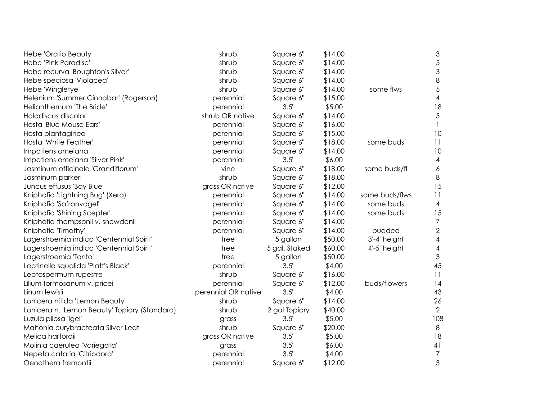| Hebe 'Oratio Beauty'                          | shrub               | Square 6"      | \$14.00 |                | $\sqrt{3}$               |
|-----------------------------------------------|---------------------|----------------|---------|----------------|--------------------------|
| Hebe 'Pink Paradise'                          | shrub               | Square 6"      | \$14.00 |                | $\sqrt{5}$               |
| Hebe recurva 'Boughton's Silver'              | shrub               | Square 6"      | \$14.00 |                | $\mathfrak{S}$           |
| Hebe speciosa 'Violacea'                      | shrub               | Square 6"      | \$14.00 |                | $\,8\,$                  |
| Hebe 'Wingletye'                              | shrub               | Square 6"      | \$14.00 | some flws      | $\sqrt{5}$               |
| Helenium 'Summer Cinnabar' (Rogerson)         | perennial           | Square 6"      | \$15.00 |                | $\overline{\mathcal{A}}$ |
| Helianthemum 'The Bride'                      | perennial           | 3.5"           | \$5.00  |                | 18                       |
| Holodiscus discolor                           | shrub OR native     | Square 6"      | \$14.00 |                | $\sqrt{5}$               |
| Hosta 'Blue Mouse Ears'                       | perennial           | Square 6"      | \$16.00 |                |                          |
| Hosta plantaginea                             | perennial           | Square 6"      | \$15.00 |                | 10                       |
| Hosta 'White Feather'                         | perennial           | Square 6"      | \$18.00 | some buds      | 11                       |
| Impatiens omeiana                             | perennial           | Square 6"      | \$14.00 |                | 10                       |
| Impatiens omeiana 'Silver Pink'               | perennial           | 3.5"           | \$6.00  |                | $\overline{4}$           |
| Jasminum officinale 'Grandiflorum'            | vine                | Square 6"      | \$18.00 | some buds/fl   | 6                        |
| Jasminum parkeri                              | shrub               | Square 6"      | \$18.00 |                | $\,8\,$                  |
| Juncus effusus 'Bay Blue'                     | grass OR native     | Square 6"      | \$12.00 |                | 15                       |
| Kniphofia 'Lightning Bug' (Xera)              | perennial           | Square 6"      | \$14.00 | some buds/flws | 11                       |
| Kniphofia 'Safranvogel'                       | perennial           | Square 6"      | \$14.00 | some buds      | 4                        |
| Kniphofia 'Shining Scepter'                   | perennial           | Square 6"      | \$14.00 | some buds      | 15                       |
| Kniphofia thompsonii v. snowdenii             | perennial           | Square 6"      | \$14.00 |                | $\overline{7}$           |
| Kniphofia 'Timothy'                           | perennial           | Square 6"      | \$14.00 | budded         | $\mathbf{2}$             |
| Lagerstroemia indica 'Centennial Spirit'      | tree                | 5 gallon       | \$50.00 | 3'-4' height   | $\overline{\mathcal{A}}$ |
| Lagerstroemia indica 'Centennial Spirit'      | tree                | 5 gal. Staked  | \$60.00 | 4'-5' height   | $\overline{4}$           |
| Lagerstroemia 'Tonto'                         | tree                | 5 gallon       | \$50.00 |                | 3                        |
| Leptinella squalida 'Platt's Black'           | perennial           | 3.5"           | \$4.00  |                | 45                       |
| Leptospermum rupestre                         | shrub               | Square 6"      | \$16.00 |                | 11                       |
| Lilium formosanum v. pricei                   | perennial           | Square 6"      | \$12.00 | buds/flowers   | 14                       |
| Linum lewisii                                 | perennial OR native | 3.5"           | \$4.00  |                | 43                       |
| Lonicera nitida 'Lemon Beauty'                | shrub               | Square 6"      | \$14.00 |                | 26                       |
| Lonicera n. 'Lemon Beauty' Topiary (Standard) | shrub               | 2 gal. Topiary | \$40.00 |                | $\overline{2}$           |
| Luzula pilosa 'Igel'                          | grass               | 3.5"           | \$5.00  |                | 108                      |
| Mahonia eurybracteata Silver Leaf             | shrub               | Square 6"      | \$20.00 |                | $\,8\,$                  |
| Melica harfordii                              | grass OR native     | 3.5"           | \$5.00  |                | 18                       |
| Molinia caerulea 'Variegata'                  | grass               | 3.5"           | \$6.00  |                | 41                       |
| Nepeta cataria 'Citriodora'                   | perennial           | 3.5"           | \$4.00  |                | $\overline{7}$           |
| Oenothera fremontii                           | perennial           | Square 6"      | \$12.00 |                | 3                        |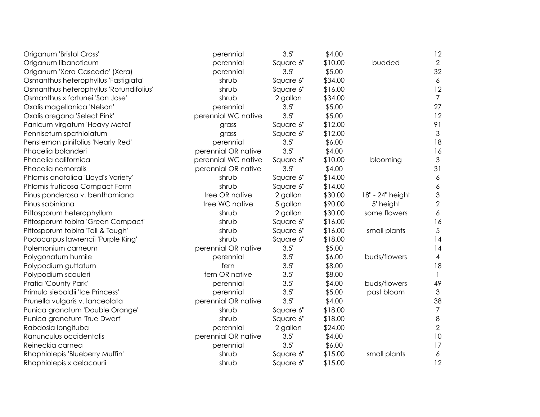| Origanum 'Bristol Cross'                | perennial           | 3.5"      | \$4.00  |                  | 12                        |
|-----------------------------------------|---------------------|-----------|---------|------------------|---------------------------|
| Origanum libanoticum                    | perennial           | Square 6" | \$10.00 | budded           | $\overline{2}$            |
| Origanum 'Xera Cascade' (Xera)          | perennial           | 3.5"      | \$5.00  |                  | 32                        |
| Osmanthus heterophyllus 'Fastigiata'    | shrub               | Square 6" | \$34.00 |                  | 6                         |
| Osmanthus heterophyllus 'Rotundifolius' | shrub               | Square 6" | \$16.00 |                  | 12                        |
| Osmanthus x fortunei 'San Jose'         | shrub               | 2 gallon  | \$34.00 |                  | $\overline{7}$            |
| Oxalis magellanica 'Nelson'             | perennial           | 3.5"      | \$5.00  |                  | 27                        |
| Oxalis oregana 'Select Pink'            | perennial WC native | 3.5"      | \$5.00  |                  | 12                        |
| Panicum virgatum 'Heavy Metal'          | grass               | Square 6" | \$12.00 |                  | 91                        |
| Pennisetum spathiolatum                 | grass               | Square 6" | \$12.00 |                  | $\mathfrak{Z}$            |
| Penstemon pinifolius 'Nearly Red'       | perennial           | 3.5"      | \$6.00  |                  | 18                        |
| Phacelia bolanderi                      | perennial OR native | 3.5"      | \$4.00  |                  | 16                        |
| Phacelia californica                    | perennial WC native | Square 6" | \$10.00 | blooming         | $\mathfrak 3$             |
| Phacelia nemoralis                      | perennial OR native | 3.5"      | \$4.00  |                  | 31                        |
| Phlomis anatolica 'Lloyd's Variety'     | shrub               | Square 6" | \$14.00 |                  | $\boldsymbol{6}$          |
| Phlomis fruticosa Compact Form          | shrub               | Square 6" | \$14.00 |                  | 6                         |
| Pinus ponderosa v. benthamiana          | tree OR native      | 2 gallon  | \$30.00 | 18" - 24" height | $\ensuremath{\mathsf{3}}$ |
| Pinus sabiniana                         | tree WC native      | 5 gallon  | \$90.00 | 5' height        | $\overline{2}$            |
| Pittosporum heterophyllum               | shrub               | 2 gallon  | \$30.00 | some flowers     | 6                         |
| Pittosporum tobira 'Green Compact'      | shrub               | Square 6" | \$16.00 |                  | 16                        |
| Pittosporum tobira 'Tall & Tough'       | shrub               | Square 6" | \$16.00 | small plants     | 5                         |
| Podocarpus lawrencii 'Purple King'      | shrub               | Square 6" | \$18.00 |                  | 14                        |
| Polemonium carneum                      | perennial OR native | 3.5"      | \$5.00  |                  | 14                        |
| Polygonatum humile                      | perennial           | 3.5"      | \$6.00  | buds/flowers     | $\overline{4}$            |
| Polypodium guttatum                     | fern                | 3.5"      | \$8.00  |                  | 18                        |
| Polypodium scouleri                     | fern OR native      | 3.5"      | \$8.00  |                  | $\mathbf{1}$              |
| Pratia 'County Park'                    | perennial           | 3.5"      | \$4.00  | buds/flowers     | 49                        |
| Primula sieboldii 'Ice Princess'        | perennial           | 3.5"      | \$5.00  | past bloom       | $\mathfrak{Z}$            |
| Prunella vulgaris v. lanceolata         | perennial OR native | 3.5"      | \$4.00  |                  | 38                        |
| Punica granatum 'Double Orange'         | shrub               | Square 6" | \$18.00 |                  | $\overline{7}$            |
| Punica granatum 'True Dwarf'            | shrub               | Square 6" | \$18.00 |                  | $\,8\,$                   |
| Rabdosia longituba                      | perennial           | 2 gallon  | \$24.00 |                  | $\overline{2}$            |
| Ranunculus occidentalis                 | perennial OR native | 3.5"      | \$4.00  |                  | 10                        |
| Reineckia carnea                        | perennial           | 3.5"      | \$6.00  |                  | 17                        |
| Rhaphiolepis 'Blueberry Muffin'         | shrub               | Square 6" | \$15.00 | small plants     | 6                         |
| Rhaphiolepis x delacourii               | shrub               | Square 6" | \$15.00 |                  | 12                        |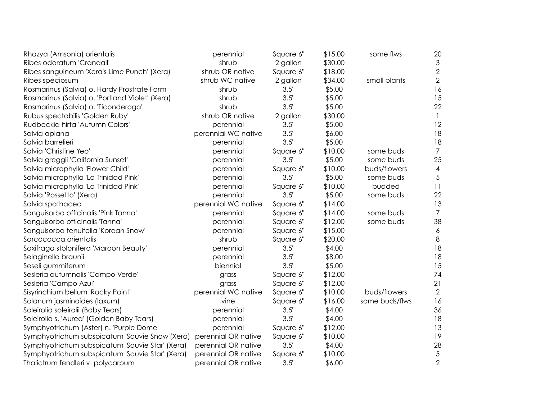| Rhazya (Amsonia) orientalis                     | perennial           | Square 6" | \$15.00 | some flws      | 20             |
|-------------------------------------------------|---------------------|-----------|---------|----------------|----------------|
| Ribes odoratum 'Crandall'                       | shrub               | 2 gallon  | \$30.00 |                | 3              |
| Ribes sanguineum 'Xera's Lime Punch' (Xera)     | shrub OR native     | Square 6" | \$18.00 |                | $\overline{2}$ |
| Ribes speciosum                                 | shrub WC native     | 2 gallon  | \$34.00 | small plants   | $\mathbf{2}$   |
| Rosmarinus (Salvia) o. Hardy Prostrate Form     | shrub               | 3.5"      | \$5.00  |                | 16             |
| Rosmarinus (Salvia) o. 'Portland Violet' (Xera) | shrub               | 3.5"      | \$5.00  |                | 15             |
| Rosmarinus (Salvia) o. 'Ticonderoga'            | shrub               | 3.5"      | \$5.00  |                | 22             |
| Rubus spectabilis 'Golden Ruby'                 | shrub OR native     | 2 gallon  | \$30.00 |                | $\mathbf{1}$   |
| Rudbeckia hirta 'Autumn Colors'                 | perennial           | 3.5"      | \$5.00  |                | 12             |
| Salvia apiana                                   | perennial WC native | 3.5"      | \$6.00  |                | 18             |
| Salvia barrelieri                               | perennial           | 3.5"      | \$5.00  |                | 18             |
| Salvia 'Christine Yeo'                          | perennial           | Square 6" | \$10.00 | some buds      | $\overline{7}$ |
| Salvia greggii 'California Sunset'              | perennial           | 3.5"      | \$5.00  | some buds      | 25             |
| Salvia microphylla 'Flower Child'               | perennial           | Square 6" | \$10.00 | buds/flowers   | $\overline{4}$ |
| Salvia microphylla 'La Trinidad Pink'           | perennial           | 3.5"      | \$5.00  | some buds      | 5              |
| Salvia microphylla 'La Trinidad Pink'           | perennial           | Square 6" | \$10.00 | budded         | 11             |
| Salvia 'Rossetto' (Xera)                        | perennial           | 3.5"      | \$5.00  | some buds      | 22             |
| Salvia spathacea                                | perennial WC native | Square 6" | \$14.00 |                | 13             |
| Sanguisorba officinalis 'Pink Tanna'            | perennial           | Square 6" | \$14.00 | some buds      | $\overline{7}$ |
| Sanguisorba officinalis 'Tanna'                 | perennial           | Square 6" | \$12.00 | some buds      | 38             |
| Sanguisorba tenuifolia 'Korean Snow'            | perennial           | Square 6" | \$15.00 |                | 6              |
| Sarcococca orientalis                           | shrub               | Square 6" | \$20.00 |                | $\,8\,$        |
| Saxifraga stolonifera 'Maroon Beauty'           | perennial           | 3.5"      | \$4.00  |                | 18             |
| Selaginella braunii                             | perennial           | 3.5"      | \$8.00  |                | 18             |
| Seseli gummiferum                               | biennial            | 3.5"      | \$5.00  |                | 15             |
| Sesleria autumnalis 'Campo Verde'               | grass               | Square 6" | \$12.00 |                | 74             |
| Sesleria 'Campo Azul'                           | grass               | Square 6" | \$12.00 |                | 21             |
| Sisyrinchium bellum 'Rocky Point'               | perennial WC native | Square 6" | \$10.00 | buds/flowers   | $\overline{2}$ |
| Solanum jasminoides (laxum)                     | vine                | Square 6" | \$16.00 | some buds/flws | 16             |
| Soleirolia soleirolii (Baby Tears)              | perennial           | 3.5"      | \$4.00  |                | 36             |
| Soleirolia s. 'Aurea' (Golden Baby Tears)       | perennial           | 3.5"      | \$4.00  |                | 18             |
| Symphyotrichum (Aster) n. 'Purple Dome'         | perennial           | Square 6" | \$12.00 |                | 13             |
| Symphyotrichum subspicatum 'Sauvie Snow'(Xera)  | perennial OR native | Square 6" | \$10.00 |                | 19             |
| Symphyotrichum subspicatum 'Sauvie Star' (Xera) | perennial OR native | 3.5"      | \$4.00  |                | 28             |
| Symphyotrichum subspicatum 'Sauvie Star' (Xera) | perennial OR native | Square 6" | \$10.00 |                | $\sqrt{5}$     |
| Thalictrum fendleri v. polycarpum               | perennial OR native | 3.5"      | \$6.00  |                | $\overline{2}$ |